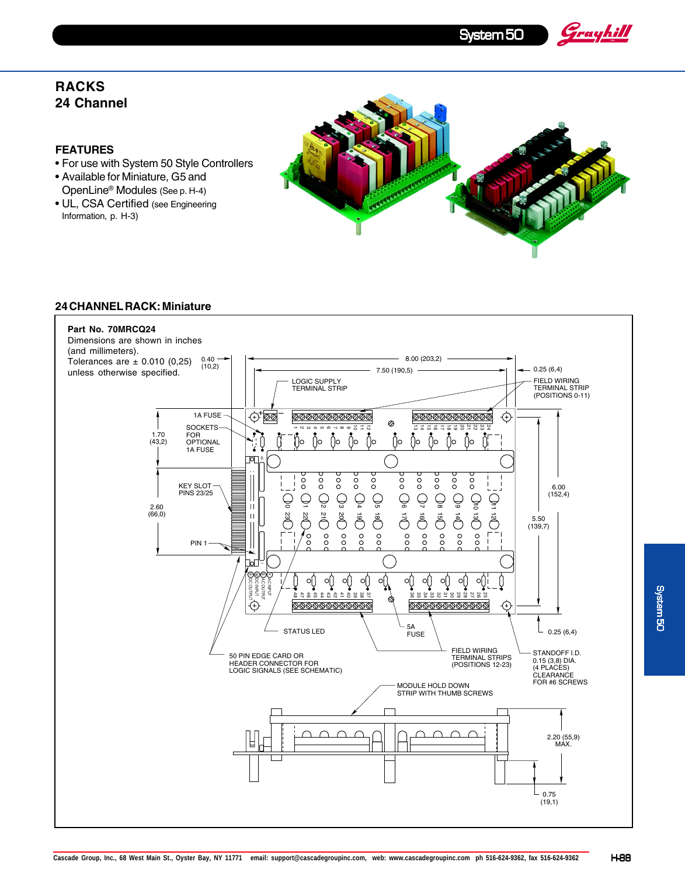System 50

Grayhill

## **RACKS 24 Channel**

## **FEATURES**

- For use with System 50 Style Controllers
- Available for Miniature, G5 and OpenLine® Modules (See p. H-4)
- UL, CSA Certified (see Engineering Information, p. H-3)



## **24 CHANNEL RACK: Miniature**